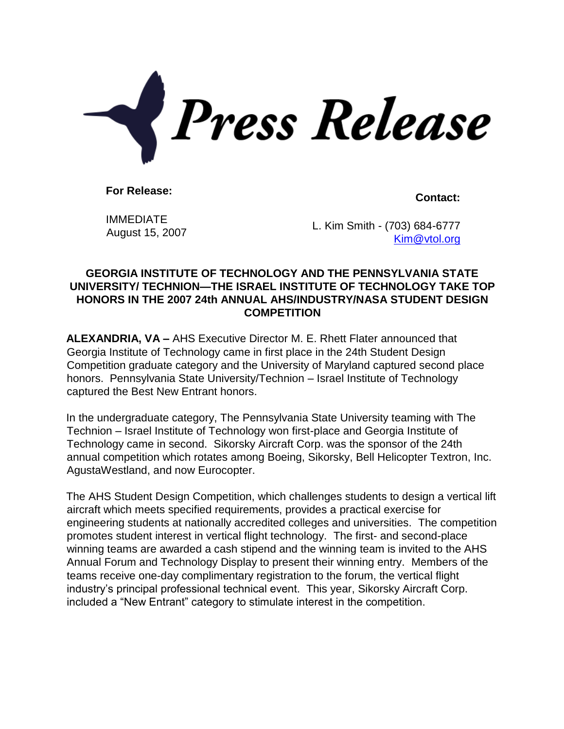

**For Release: Contact:**

IMMEDIATE

 $A$ ugust 15, 2007 L. Kim Smith - (703) 684-6777 [Kim@vtol.org](mailto:Kim@vtol.org)

## **GEORGIA INSTITUTE OF TECHNOLOGY AND THE PENNSYLVANIA STATE UNIVERSITY/ TECHNION—THE ISRAEL INSTITUTE OF TECHNOLOGY TAKE TOP HONORS IN THE 2007 24th ANNUAL AHS/INDUSTRY/NASA STUDENT DESIGN COMPETITION**

**ALEXANDRIA, VA –** AHS Executive Director M. E. Rhett Flater announced that Georgia Institute of Technology came in first place in the 24th Student Design Competition graduate category and the University of Maryland captured second place honors. Pennsylvania State University/Technion – Israel Institute of Technology captured the Best New Entrant honors.

In the undergraduate category, The Pennsylvania State University teaming with The Technion – Israel Institute of Technology won first-place and Georgia Institute of Technology came in second. Sikorsky Aircraft Corp. was the sponsor of the 24th annual competition which rotates among Boeing, Sikorsky, Bell Helicopter Textron, Inc. AgustaWestland, and now Eurocopter.

The AHS Student Design Competition, which challenges students to design a vertical lift aircraft which meets specified requirements, provides a practical exercise for engineering students at nationally accredited colleges and universities. The competition promotes student interest in vertical flight technology. The first- and second-place winning teams are awarded a cash stipend and the winning team is invited to the AHS Annual Forum and Technology Display to present their winning entry. Members of the teams receive one-day complimentary registration to the forum, the vertical flight industry's principal professional technical event. This year, Sikorsky Aircraft Corp. included a "New Entrant" category to stimulate interest in the competition.